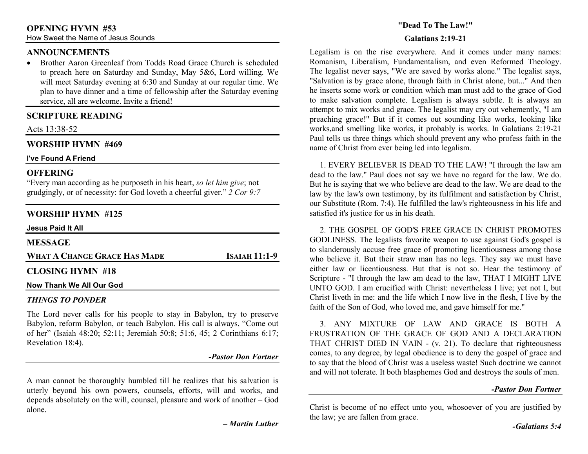#### **ANNOUNCEMENTS**

• Brother Aaron Greenleaf from Todds Road Grace Church is scheduled to preach here on Saturday and Sunday, May 5&6, Lord willing. We will meet Saturday evening at 6:30 and Sunday at our regular time. We plan to have dinner and a time of fellowship after the Saturday evening service, all are welcome. Invite a friend!

## **SCRIPTURE READING**

Acts 13:38-52

### **WORSHIP HYMN #469**

#### **I've Found A Friend**

### **OFFERING**

 "Every man according as he purposeth in his heart, *so let him give*; not grudgingly, or of necessity: for God loveth a cheerful giver." *2 Cor 9:7*

## **WORSHIP HYMN #125**

| <b>Jesus Paid It All</b>     |                      |
|------------------------------|----------------------|
| <b>MESSAGE</b>               |                      |
| WHAT A CHANGE GRACE HAS MADE | <b>ISAIAH 11:1-9</b> |
| <b>CLOSING HYMN #18</b>      |                      |
| Now Thank We All Our God     |                      |

#### *THINGS TO PONDER*

The Lord never calls for his people to stay in Babylon, try to preserve Babylon, reform Babylon, or teach Babylon. His call is always, "Come out of her" (Isaiah 48:20; 52:11; Jeremiah 50:8; 51:6, 45; 2 Corinthians 6:17; Revelation 18:4).

*-Pastor Don Fortner* 

A man cannot be thoroughly humbled till he realizes that his salvation is utterly beyond his own powers, counsels, efforts, will and works, and depends absolutely on the will, counsel, pleasure and work of another – God alone.

*– Martin Luther* 

### **"Dead To The Law!"**

#### **Galatians 2:19-21**

Legalism is on the rise everywhere. And it comes under many names: Romanism, Liberalism, Fundamentalism, and even Reformed Theology. The legalist never says, "We are saved by works alone." The legalist says, "Salvation is by grace alone, through faith in Christ alone, but..." And then he inserts some work or condition which man must add to the grace of God to make salvation complete. Legalism is always subtle. It is always an attempt to mix works and grace. The legalist may cry out vehemently, "I am preaching grace!" But if it comes out sounding like works, looking like works,and smelling like works, it probably is works. In Galatians 2:19-21 Paul tells us three things which should prevent any who profess faith in the name of Christ from ever being led into legalism.

 1. EVERY BELIEVER IS DEAD TO THE LAW! "I through the law am dead to the law." Paul does not say we have no regard for the law. We do. But he is saying that we who believe are dead to the law. We are dead to the law by the law's own testimony, by its fulfilment and satisfaction by Christ, our Substitute (Rom. 7:4). He fulfilled the law's righteousness in his life and satisfied it's justice for us in his death.

 2. THE GOSPEL OF GOD'S FREE GRACE IN CHRIST PROMOTES GODLINESS. The legalists favorite weapon to use against God's gospel is to slanderously accuse free grace of promoting licentiousness among those who believe it. But their straw man has no legs. They say we must have either law or licentiousness. But that is not so. Hear the testimony of Scripture - "I through the law am dead to the law, THAT I MIGHT LIVE UNTO GOD. I am crucified with Christ: nevertheless I live; yet not I, but Christ liveth in me: and the life which I now live in the flesh, I live by the faith of the Son of God, who loved me, and gave himself for me."

 3. ANY MIXTURE OF LAW AND GRACE IS BOTH A FRUSTRATION OF THE GRACE OF GOD AND A DECLARATION THAT CHRIST DIED IN VAIN - (v. 21). To declare that righteousness comes, to any degree, by legal obedience is to deny the gospel of grace and to say that the blood of Christ was a useless waste! Such doctrine we cannot and will not tolerate. It both blasphemes God and destroys the souls of men.

#### *-Pastor Don Fortner*

Christ is become of no effect unto you, whosoever of you are justified by the law; ye are fallen from grace.